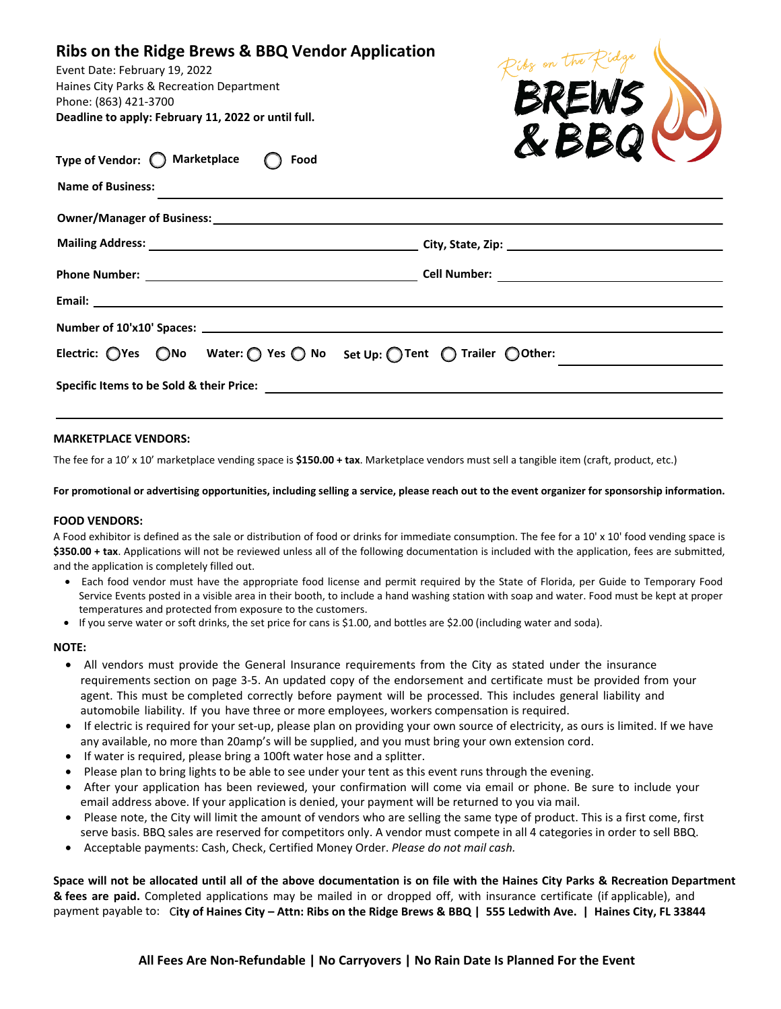### **Ribs on the Ridge Brews & BBQ Vendor Application**

Event Date: February 19, 2022 Haines City Parks & Recreation Department Phone: (863) 421-3700 **Deadline to apply: February 11, 2022 or until full.**



| Type of Vendor: $\bigcirc$ Marketplace $\bigcirc$ Food                                                                                                                                                                         |  |                                                                                                                       | $\sim$ $\sim$ $\sim$ $\sim$ $\sim$                                                                                                      |  |
|--------------------------------------------------------------------------------------------------------------------------------------------------------------------------------------------------------------------------------|--|-----------------------------------------------------------------------------------------------------------------------|-----------------------------------------------------------------------------------------------------------------------------------------|--|
| <b>Name of Business:</b>                                                                                                                                                                                                       |  | <u> 1989 - Jan Samuel Barbara, margaret a shekara 1989 - Andrea Samuel Barbara, marka 1989 - Andrea Samuel Barbar</u> |                                                                                                                                         |  |
|                                                                                                                                                                                                                                |  |                                                                                                                       |                                                                                                                                         |  |
|                                                                                                                                                                                                                                |  |                                                                                                                       |                                                                                                                                         |  |
|                                                                                                                                                                                                                                |  |                                                                                                                       |                                                                                                                                         |  |
|                                                                                                                                                                                                                                |  |                                                                                                                       |                                                                                                                                         |  |
|                                                                                                                                                                                                                                |  |                                                                                                                       |                                                                                                                                         |  |
|                                                                                                                                                                                                                                |  |                                                                                                                       | Electric: $\bigcirc$ Yes $\bigcirc$ No Water: $\bigcirc$ Yes $\bigcirc$ No Set Up: $\bigcirc$ Tent $\bigcirc$ Trailer $\bigcirc$ Other: |  |
| Specific Items to be Sold & their Price: Department of the Contract of the Contract of the Contract of the Contract of the Contract of the Contract of the Contract of the Contract of the Contract of the Contract of the Con |  |                                                                                                                       |                                                                                                                                         |  |
|                                                                                                                                                                                                                                |  |                                                                                                                       |                                                                                                                                         |  |

#### **MARKETPLACE VENDORS:**

The fee for a 10' x 10' marketplace vending space is **\$150.00 + tax**. Marketplace vendors must sell a tangible item (craft, product, etc.)

**For promotional or advertising opportunities, including selling a service, please reach out to the event organizer for sponsorship information.**

#### **FOOD VENDORS:**

A Food exhibitor is defined as the sale or distribution of food or drinks for immediate consumption. The fee for a 10' x 10' food vending space is **\$350.00 + tax**. Applications will not be reviewed unless all of the following documentation is included with the application, fees are submitted, and the application is completely filled out.

- Each food vendor must have the appropriate food license and permit required by the State of Florida, per Guide to Temporary Food Service Events posted in a visible area in their booth, to include a hand washing station with soap and water. Food must be kept at proper temperatures and protected from exposure to the customers.
- If you serve water or soft drinks, the set price for cans is \$1.00, and bottles are \$2.00 (including water and soda).

#### **NOTE:**

- All vendors must provide the General Insurance requirements from the City as stated under the insurance requirements section on page 3-5. An updated copy of the endorsement and certificate must be provided from your agent. This must be completed correctly before payment will be processed. This includes general liability and automobile liability. If you have three or more employees, workers compensation is required.
- If electric is required for your set-up, please plan on providing your own source of electricity, as ours is limited. If we have any available, no more than 20amp's will be supplied, and you must bring your own extension cord.
- If water is required, please bring a 100ft water hose and a splitter.
- Please plan to bring lights to be able to see under your tent as this event runs through the evening.
- After your application has been reviewed, your confirmation will come via email or phone. Be sure to include your email address above. If your application is denied, your payment will be returned to you via mail.
- Please note, the City will limit the amount of vendors who are selling the same type of product. This is a first come, first serve basis. BBQ sales are reserved for competitors only. A vendor must compete in all 4 categories in order to sell BBQ.
- Acceptable payments: Cash, Check, Certified Money Order. *Please do not mail cash.*

**Space will not be allocated until all of the above documentation is on file with the Haines City Parks & Recreation Department & fees are paid.** Completed applications may be mailed in or dropped off, with insurance certificate (if applicable), and payment payable to: C**ity of Haines City – Attn: Ribs on the Ridge Brews & BBQ | 555 Ledwith Ave. | Haines City, FL 33844**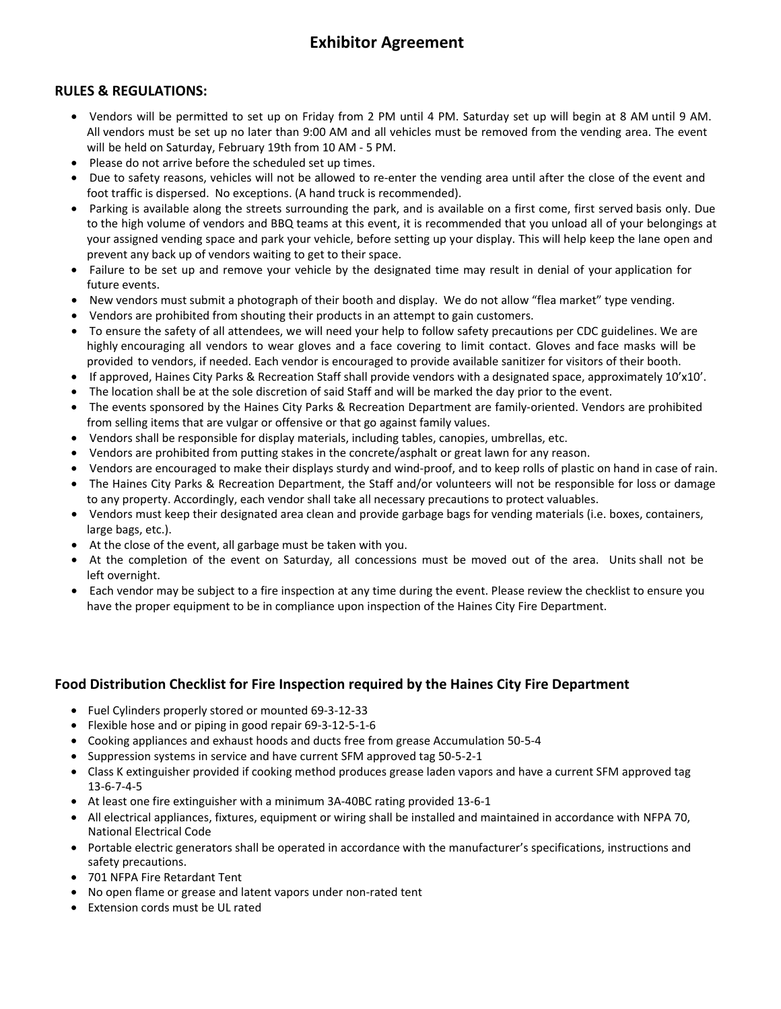# **Exhibitor Agreement**

### **RULES & REGULATIONS:**

- Vendors will be permitted to set up on Friday from 2 PM until 4 PM. Saturday set up will begin at 8 AM until 9 AM. All vendors must be set up no later than 9:00 AM and all vehicles must be removed from the vending area. The event will be held on Saturday, February 19th from 10 AM - 5 PM.
- Please do not arrive before the scheduled set up times.
- Due to safety reasons, vehicles will not be allowed to re-enter the vending area until after the close of the event and foot traffic is dispersed. No exceptions. (A hand truck is recommended).
- Parking is available along the streets surrounding the park, and is available on a first come, first served basis only. Due to the high volume of vendors and BBQ teams at this event, it is recommended that you unload all of your belongings at your assigned vending space and park your vehicle, before setting up your display. This will help keep the lane open and prevent any back up of vendors waiting to get to their space.
- Failure to be set up and remove your vehicle by the designated time may result in denial of your application for future events.
- New vendors must submit a photograph of their booth and display. We do not allow "flea market" type vending.
- Vendors are prohibited from shouting their products in an attempt to gain customers.
- To ensure the safety of all attendees, we will need your help to follow safety precautions per CDC guidelines. We are highly encouraging all vendors to wear gloves and a face covering to limit contact. Gloves and face masks will be provided to vendors, if needed. Each vendor is encouraged to provide available sanitizer for visitors of their booth.
- If approved, Haines City Parks & Recreation Staff shall provide vendors with a designated space, approximately 10'x10'.
- The location shall be at the sole discretion of said Staff and will be marked the day prior to the event.
- The events sponsored by the Haines City Parks & Recreation Department are family-oriented. Vendors are prohibited from selling items that are vulgar or offensive or that go against family values.
- Vendors shall be responsible for display materials, including tables, canopies, umbrellas, etc.
- Vendors are prohibited from putting stakes in the concrete/asphalt or great lawn for any reason.
- Vendors are encouraged to make their displays sturdy and wind-proof, and to keep rolls of plastic on hand in case of rain.
- The Haines City Parks & Recreation Department, the Staff and/or volunteers will not be responsible for loss or damage to any property. Accordingly, each vendor shall take all necessary precautions to protect valuables.
- Vendors must keep their designated area clean and provide garbage bags for vending materials (i.e. boxes, containers, large bags, etc.).
- At the close of the event, all garbage must be taken with you.
- At the completion of the event on Saturday, all concessions must be moved out of the area. Units shall not be left overnight.
- Each vendor may be subject to a fire inspection at any time during the event. Please review the checklist to ensure you have the proper equipment to be in compliance upon inspection of the Haines City Fire Department.

### **Food Distribution Checklist for Fire Inspection required by the Haines City Fire Department**

- Fuel Cylinders properly stored or mounted 69-3-12-33
- Flexible hose and or piping in good repair 69-3-12-5-1-6
- Cooking appliances and exhaust hoods and ducts free from grease Accumulation 50-5-4
- Suppression systems in service and have current SFM approved tag 50-5-2-1
- Class K extinguisher provided if cooking method produces grease laden vapors and have a current SFM approved tag 13-6-7-4-5
- At least one fire extinguisher with a minimum 3A-40BC rating provided 13-6-1
- All electrical appliances, fixtures, equipment or wiring shall be installed and maintained in accordance with NFPA 70, National Electrical Code
- Portable electric generators shall be operated in accordance with the manufacturer's specifications, instructions and safety precautions.
- 701 NFPA Fire Retardant Tent
- No open flame or grease and latent vapors under non-rated tent
- Extension cords must be UL rated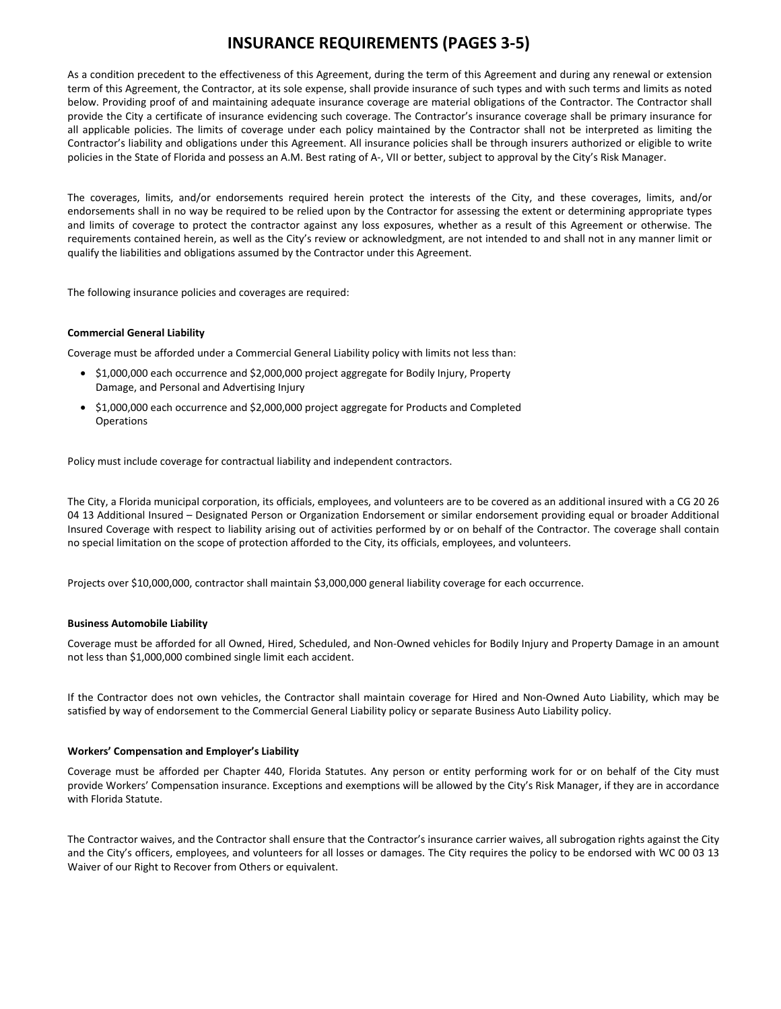## **INSURANCE REQUIREMENTS (PAGES 3-5)**

As a condition precedent to the effectiveness of this Agreement, during the term of this Agreement and during any renewal or extension term of this Agreement, the Contractor, at its sole expense, shall provide insurance of such types and with such terms and limits as noted below. Providing proof of and maintaining adequate insurance coverage are material obligations of the Contractor. The Contractor shall provide the City a certificate of insurance evidencing such coverage. The Contractor's insurance coverage shall be primary insurance for all applicable policies. The limits of coverage under each policy maintained by the Contractor shall not be interpreted as limiting the Contractor's liability and obligations under this Agreement. All insurance policies shall be through insurers authorized or eligible to write policies in the State of Florida and possess an A.M. Best rating of A-, VII or better, subject to approval by the City's Risk Manager.

The coverages, limits, and/or endorsements required herein protect the interests of the City, and these coverages, limits, and/or endorsements shall in no way be required to be relied upon by the Contractor for assessing the extent or determining appropriate types and limits of coverage to protect the contractor against any loss exposures, whether as a result of this Agreement or otherwise. The requirements contained herein, as well as the City's review or acknowledgment, are not intended to and shall not in any manner limit or qualify the liabilities and obligations assumed by the Contractor under this Agreement.

The following insurance policies and coverages are required:

#### **Commercial General Liability**

Coverage must be afforded under a Commercial General Liability policy with limits not less than:

- \$1,000,000 each occurrence and \$2,000,000 project aggregate for Bodily Injury, Property Damage, and Personal and Advertising Injury
- \$1,000,000 each occurrence and \$2,000,000 project aggregate for Products and Completed **Operations**

Policy must include coverage for contractual liability and independent contractors.

The City, a Florida municipal corporation, its officials, employees, and volunteers are to be covered as an additional insured with a CG 20 26 04 13 Additional Insured – Designated Person or Organization Endorsement or similar endorsement providing equal or broader Additional Insured Coverage with respect to liability arising out of activities performed by or on behalf of the Contractor. The coverage shall contain no special limitation on the scope of protection afforded to the City, its officials, employees, and volunteers.

Projects over \$10,000,000, contractor shall maintain \$3,000,000 general liability coverage for each occurrence.

#### **Business Automobile Liability**

Coverage must be afforded for all Owned, Hired, Scheduled, and Non-Owned vehicles for Bodily Injury and Property Damage in an amount not less than \$1,000,000 combined single limit each accident.

If the Contractor does not own vehicles, the Contractor shall maintain coverage for Hired and Non-Owned Auto Liability, which may be satisfied by way of endorsement to the Commercial General Liability policy or separate Business Auto Liability policy.

#### **Workers' Compensation and Employer's Liability**

Coverage must be afforded per Chapter 440, Florida Statutes. Any person or entity performing work for or on behalf of the City must provide Workers' Compensation insurance. Exceptions and exemptions will be allowed by the City's Risk Manager, if they are in accordance with Florida Statute.

The Contractor waives, and the Contractor shall ensure that the Contractor's insurance carrier waives, all subrogation rights against the City and the City's officers, employees, and volunteers for all losses or damages. The City requires the policy to be endorsed with WC 00 03 13 Waiver of our Right to Recover from Others or equivalent.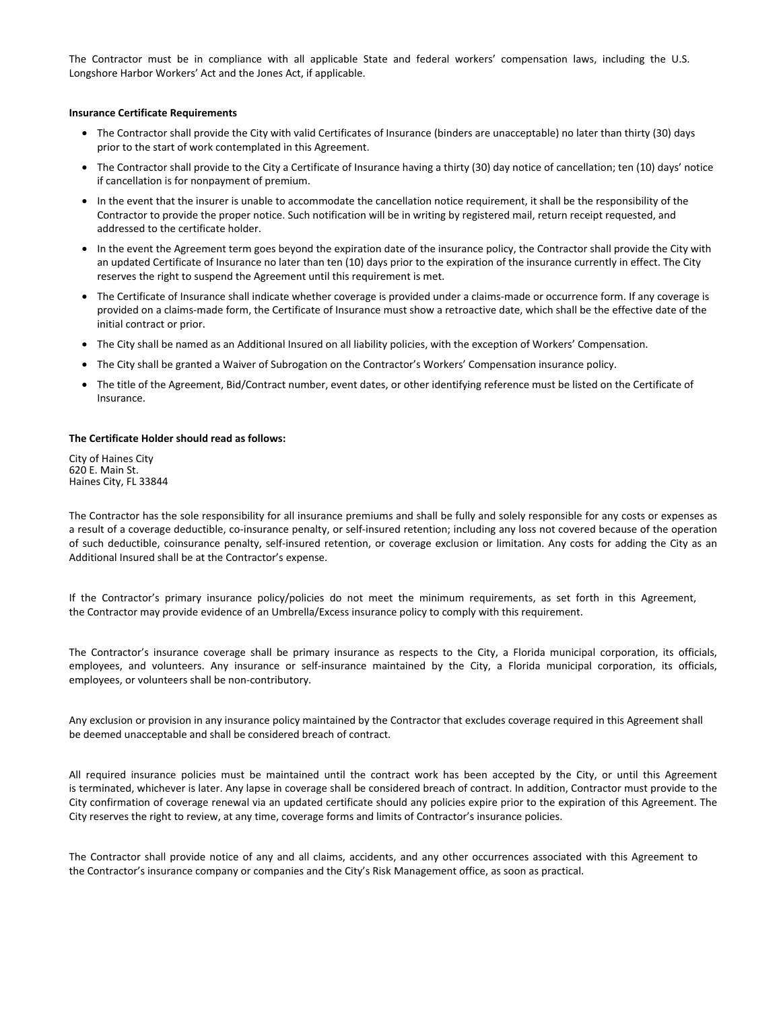The Contractor must be in compliance with all applicable State and federal workers' compensation laws, including the U.S. Longshore Harbor Workers' Act and the Jones Act, if applicable.

#### **Insurance Certificate Requirements**

- The Contractor shall provide the City with valid Certificates of Insurance (binders are unacceptable) no later than thirty (30) days prior to the start of work contemplated in this Agreement.
- The Contractor shall provide to the City a Certificate of Insurance having a thirty (30) day notice of cancellation; ten (10) days' notice if cancellation is for nonpayment of premium.
- In the event that the insurer is unable to accommodate the cancellation notice requirement, it shall be the responsibility of the Contractor to provide the proper notice. Such notification will be in writing by registered mail, return receipt requested, and addressed to the certificate holder.
- In the event the Agreement term goes beyond the expiration date of the insurance policy, the Contractor shall provide the City with an updated Certificate of Insurance no later than ten (10) days prior to the expiration of the insurance currently in effect. The City reserves the right to suspend the Agreement until this requirement is met.
- The Certificate of Insurance shall indicate whether coverage is provided under a claims-made or occurrence form. If any coverage is provided on a claims-made form, the Certificate of Insurance must show a retroactive date, which shall be the effective date of the initial contract or prior.
- The City shall be named as an Additional Insured on all liability policies, with the exception of Workers' Compensation.
- The City shall be granted a Waiver of Subrogation on the Contractor's Workers' Compensation insurance policy.
- The title of the Agreement, Bid/Contract number, event dates, or other identifying reference must be listed on the Certificate of Insurance.

#### **The Certificate Holder should read as follows:**

City of Haines City 620 E. Main St. Haines City, FL 33844

The Contractor has the sole responsibility for all insurance premiums and shall be fully and solely responsible for any costs or expenses as a result of a coverage deductible, co-insurance penalty, or self-insured retention; including any loss not covered because of the operation of such deductible, coinsurance penalty, self-insured retention, or coverage exclusion or limitation. Any costs for adding the City as an Additional Insured shall be at the Contractor's expense.

If the Contractor's primary insurance policy/policies do not meet the minimum requirements, as set forth in this Agreement, the Contractor may provide evidence of an Umbrella/Excess insurance policy to comply with this requirement.

The Contractor's insurance coverage shall be primary insurance as respects to the City, a Florida municipal corporation, its officials, employees, and volunteers. Any insurance or self-insurance maintained by the City, a Florida municipal corporation, its officials, employees, or volunteers shall be non-contributory.

Any exclusion or provision in any insurance policy maintained by the Contractor that excludes coverage required in this Agreement shall be deemed unacceptable and shall be considered breach of contract.

All required insurance policies must be maintained until the contract work has been accepted by the City, or until this Agreement is terminated, whichever is later. Any lapse in coverage shall be considered breach of contract. In addition, Contractor must provide to the City confirmation of coverage renewal via an updated certificate should any policies expire prior to the expiration of this Agreement. The City reserves the right to review, at any time, coverage forms and limits of Contractor's insurance policies.

The Contractor shall provide notice of any and all claims, accidents, and any other occurrences associated with this Agreement to the Contractor's insurance company or companies and the City's Risk Management office, as soon as practical.